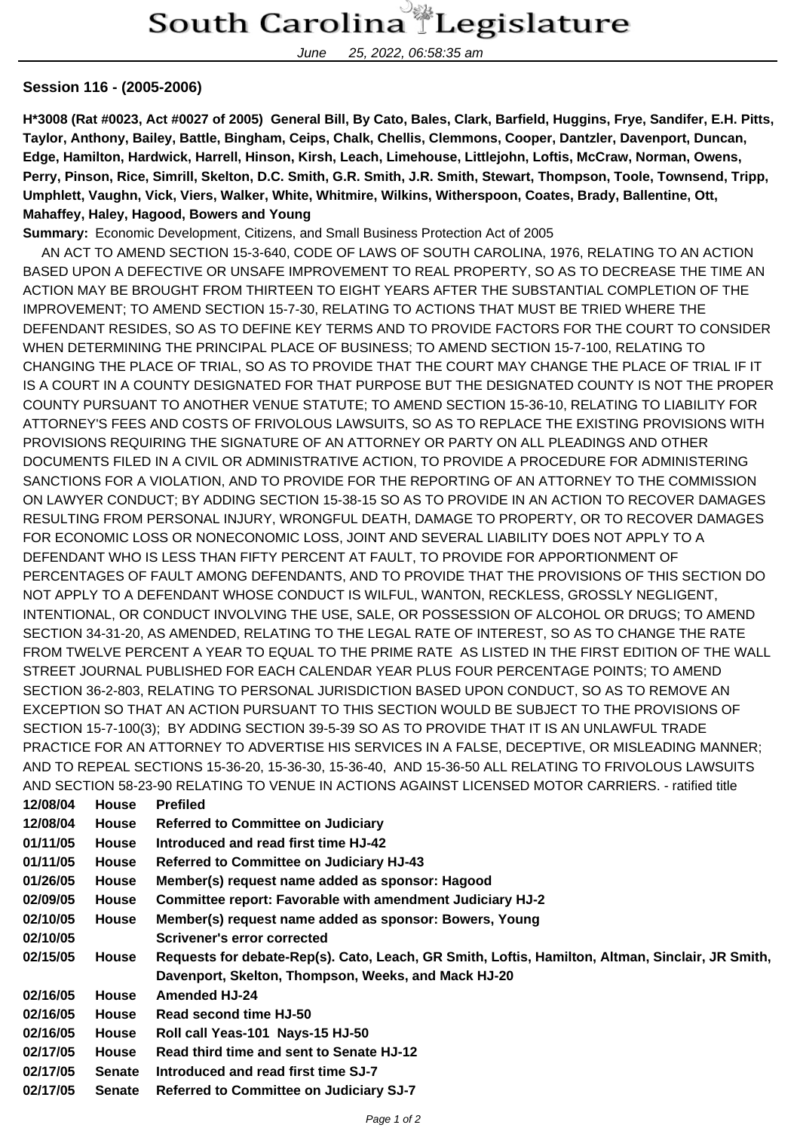June 25, 2022, 06:58:35 am

## **Session 116 - (2005-2006)**

**H\*3008 (Rat #0023, Act #0027 of 2005) General Bill, By Cato, Bales, Clark, Barfield, Huggins, Frye, Sandifer, E.H. Pitts, Taylor, Anthony, Bailey, Battle, Bingham, Ceips, Chalk, Chellis, Clemmons, Cooper, Dantzler, Davenport, Duncan, Edge, Hamilton, Hardwick, Harrell, Hinson, Kirsh, Leach, Limehouse, Littlejohn, Loftis, McCraw, Norman, Owens, Perry, Pinson, Rice, Simrill, Skelton, D.C. Smith, G.R. Smith, J.R. Smith, Stewart, Thompson, Toole, Townsend, Tripp, Umphlett, Vaughn, Vick, Viers, Walker, White, Whitmire, Wilkins, Witherspoon, Coates, Brady, Ballentine, Ott, Mahaffey, Haley, Hagood, Bowers and Young**

**Summary:** Economic Development, Citizens, and Small Business Protection Act of 2005

 AN ACT TO AMEND SECTION 15-3-640, CODE OF LAWS OF SOUTH CAROLINA, 1976, RELATING TO AN ACTION BASED UPON A DEFECTIVE OR UNSAFE IMPROVEMENT TO REAL PROPERTY, SO AS TO DECREASE THE TIME AN ACTION MAY BE BROUGHT FROM THIRTEEN TO EIGHT YEARS AFTER THE SUBSTANTIAL COMPLETION OF THE IMPROVEMENT; TO AMEND SECTION 15-7-30, RELATING TO ACTIONS THAT MUST BE TRIED WHERE THE DEFENDANT RESIDES, SO AS TO DEFINE KEY TERMS AND TO PROVIDE FACTORS FOR THE COURT TO CONSIDER WHEN DETERMINING THE PRINCIPAL PLACE OF BUSINESS; TO AMEND SECTION 15-7-100, RELATING TO CHANGING THE PLACE OF TRIAL, SO AS TO PROVIDE THAT THE COURT MAY CHANGE THE PLACE OF TRIAL IF IT IS A COURT IN A COUNTY DESIGNATED FOR THAT PURPOSE BUT THE DESIGNATED COUNTY IS NOT THE PROPER COUNTY PURSUANT TO ANOTHER VENUE STATUTE; TO AMEND SECTION 15-36-10, RELATING TO LIABILITY FOR ATTORNEY'S FEES AND COSTS OF FRIVOLOUS LAWSUITS, SO AS TO REPLACE THE EXISTING PROVISIONS WITH PROVISIONS REQUIRING THE SIGNATURE OF AN ATTORNEY OR PARTY ON ALL PLEADINGS AND OTHER DOCUMENTS FILED IN A CIVIL OR ADMINISTRATIVE ACTION, TO PROVIDE A PROCEDURE FOR ADMINISTERING SANCTIONS FOR A VIOLATION, AND TO PROVIDE FOR THE REPORTING OF AN ATTORNEY TO THE COMMISSION ON LAWYER CONDUCT; BY ADDING SECTION 15-38-15 SO AS TO PROVIDE IN AN ACTION TO RECOVER DAMAGES RESULTING FROM PERSONAL INJURY, WRONGFUL DEATH, DAMAGE TO PROPERTY, OR TO RECOVER DAMAGES FOR ECONOMIC LOSS OR NONECONOMIC LOSS, JOINT AND SEVERAL LIABILITY DOES NOT APPLY TO A DEFENDANT WHO IS LESS THAN FIFTY PERCENT AT FAULT, TO PROVIDE FOR APPORTIONMENT OF PERCENTAGES OF FAULT AMONG DEFENDANTS, AND TO PROVIDE THAT THE PROVISIONS OF THIS SECTION DO NOT APPLY TO A DEFENDANT WHOSE CONDUCT IS WILFUL, WANTON, RECKLESS, GROSSLY NEGLIGENT, INTENTIONAL, OR CONDUCT INVOLVING THE USE, SALE, OR POSSESSION OF ALCOHOL OR DRUGS; TO AMEND SECTION 34-31-20, AS AMENDED, RELATING TO THE LEGAL RATE OF INTEREST, SO AS TO CHANGE THE RATE FROM TWELVE PERCENT A YEAR TO EQUAL TO THE PRIME RATE AS LISTED IN THE FIRST EDITION OF THE WALL STREET JOURNAL PUBLISHED FOR EACH CALENDAR YEAR PLUS FOUR PERCENTAGE POINTS; TO AMEND SECTION 36-2-803, RELATING TO PERSONAL JURISDICTION BASED UPON CONDUCT, SO AS TO REMOVE AN EXCEPTION SO THAT AN ACTION PURSUANT TO THIS SECTION WOULD BE SUBJECT TO THE PROVISIONS OF SECTION 15-7-100(3); BY ADDING SECTION 39-5-39 SO AS TO PROVIDE THAT IT IS AN UNLAWFUL TRADE PRACTICE FOR AN ATTORNEY TO ADVERTISE HIS SERVICES IN A FALSE, DECEPTIVE, OR MISLEADING MANNER; AND TO REPEAL SECTIONS 15-36-20, 15-36-30, 15-36-40, AND 15-36-50 ALL RELATING TO FRIVOLOUS LAWSUITS AND SECTION 58-23-90 RELATING TO VENUE IN ACTIONS AGAINST LICENSED MOTOR CARRIERS. - ratified title

| 12/08/04 | <b>House</b>  | <b>Prefiled</b>                                                                                  |  |  |
|----------|---------------|--------------------------------------------------------------------------------------------------|--|--|
| 12/08/04 | <b>House</b>  | <b>Referred to Committee on Judiciary</b>                                                        |  |  |
| 01/11/05 | <b>House</b>  | Introduced and read first time HJ-42                                                             |  |  |
| 01/11/05 | <b>House</b>  | <b>Referred to Committee on Judiciary HJ-43</b>                                                  |  |  |
| 01/26/05 | <b>House</b>  | Member(s) request name added as sponsor: Hagood                                                  |  |  |
| 02/09/05 | <b>House</b>  | Committee report: Favorable with amendment Judiciary HJ-2                                        |  |  |
| 02/10/05 | <b>House</b>  | Member(s) request name added as sponsor: Bowers, Young                                           |  |  |
| 02/10/05 |               | Scrivener's error corrected                                                                      |  |  |
| 02/15/05 | <b>House</b>  | Requests for debate-Rep(s). Cato, Leach, GR Smith, Loftis, Hamilton, Altman, Sinclair, JR Smith, |  |  |
|          |               | Davenport, Skelton, Thompson, Weeks, and Mack HJ-20                                              |  |  |
| 02/16/05 | <b>House</b>  | <b>Amended HJ-24</b>                                                                             |  |  |
| 02/16/05 | <b>House</b>  | Read second time HJ-50                                                                           |  |  |
| 02/16/05 | <b>House</b>  | Roll call Yeas-101 Nays-15 HJ-50                                                                 |  |  |
| 02/17/05 | <b>House</b>  | Read third time and sent to Senate HJ-12                                                         |  |  |
| 02/17/05 | <b>Senate</b> | Introduced and read first time SJ-7                                                              |  |  |
| 02/17/05 | <b>Senate</b> | <b>Referred to Committee on Judiciary SJ-7</b>                                                   |  |  |